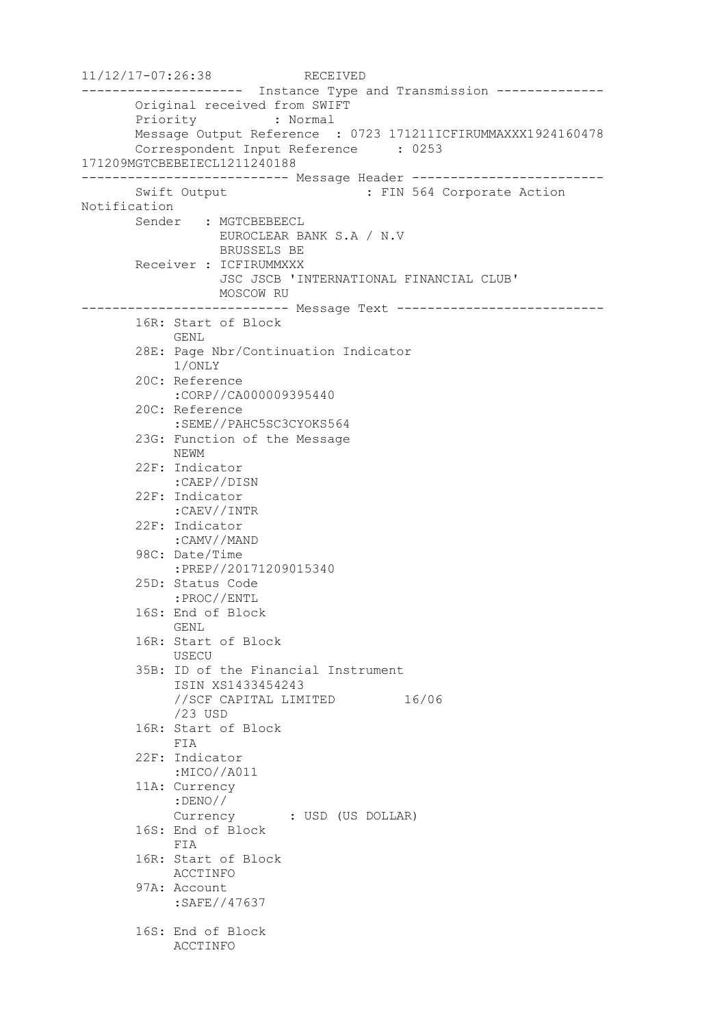11/12/17-07:26:38 RECEIVED --------------------- Instance Type and Transmission -------------- Original received from SWIFT Priority : Normal Message Output Reference : 0723 171211ICFIRUMMAXXX1924160478 Correspondent Input Reference : 0253 171209MGTCBEBEIECL1211240188 --------------------------- Message Header ------------------------- Swift Output : FIN 564 Corporate Action Notification Sender : MGTCBEBEECL EUROCLEAR BANK S.A / N.V BRUSSELS BE Receiver : ICFIRUMMXXX JSC JSCB 'INTERNATIONAL FINANCIAL CLUB' MOSCOW RU --------------------------- Message Text --------------------------- 16R: Start of Block GENL 28E: Page Nbr/Continuation Indicator 1/ONLY 20C: Reference :CORP//CA000009395440 20C: Reference :SEME//PAHC5SC3CYOKS564 23G: Function of the Message NEWM 22F: Indicator :CAEP//DISN 22F: Indicator :CAEV//INTR 22F: Indicator :CAMV//MAND 98C: Date/Time :PREP//20171209015340 25D: Status Code :PROC//ENTL 16S: End of Block GENL 16R: Start of Block USECU 35B: ID of the Financial Instrument ISIN XS1433454243 //SCF CAPITAL LIMITED 16/06 /23 USD 16R: Start of Block FIA 22F: Indicator :MICO//A011 11A: Currency :DENO// Currency : USD (US DOLLAR) 16S: End of Block FIA 16R: Start of Block ACCTINFO 97A: Account :SAFE//47637 16S: End of Block ACCTINFO